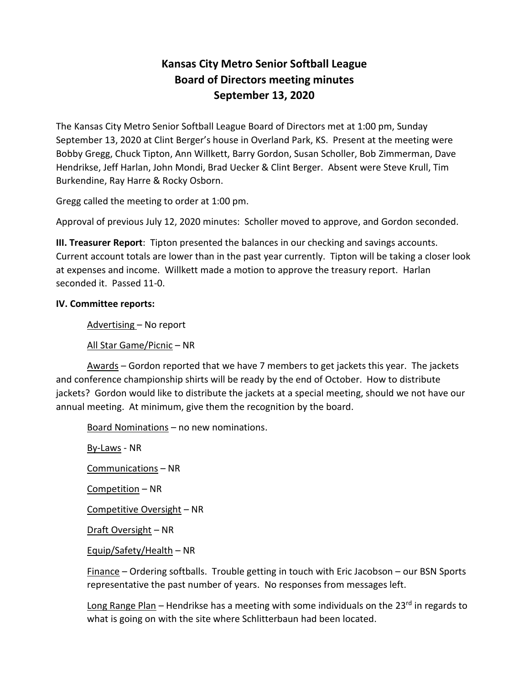# **Kansas City Metro Senior Softball League Board of Directors meeting minutes September 13, 2020**

The Kansas City Metro Senior Softball League Board of Directors met at 1:00 pm, Sunday September 13, 2020 at Clint Berger's house in Overland Park, KS. Present at the meeting were Bobby Gregg, Chuck Tipton, Ann Willkett, Barry Gordon, Susan Scholler, Bob Zimmerman, Dave Hendrikse, Jeff Harlan, John Mondi, Brad Uecker & Clint Berger. Absent were Steve Krull, Tim Burkendine, Ray Harre & Rocky Osborn.

Gregg called the meeting to order at 1:00 pm.

Approval of previous July 12, 2020 minutes: Scholler moved to approve, and Gordon seconded.

**III. Treasurer Report**: Tipton presented the balances in our checking and savings accounts. Current account totals are lower than in the past year currently. Tipton will be taking a closer look at expenses and income. Willkett made a motion to approve the treasury report. Harlan seconded it. Passed 11-0.

# **IV. Committee reports:**

Advertising – No report

All Star Game/Picnic – NR

Awards – Gordon reported that we have 7 members to get jackets this year. The jackets and conference championship shirts will be ready by the end of October. How to distribute jackets? Gordon would like to distribute the jackets at a special meeting, should we not have our annual meeting. At minimum, give them the recognition by the board.

Board Nominations – no new nominations.

By-Laws - NR

Communications – NR

Competition – NR

Competitive Oversight – NR

Draft Oversight – NR

Equip/Safety/Health – NR

Finance – Ordering softballs. Trouble getting in touch with Eric Jacobson – our BSN Sports representative the past number of years. No responses from messages left.

Long Range Plan – Hendrikse has a meeting with some individuals on the 23 $^{\text{rd}}$  in regards to what is going on with the site where Schlitterbaun had been located.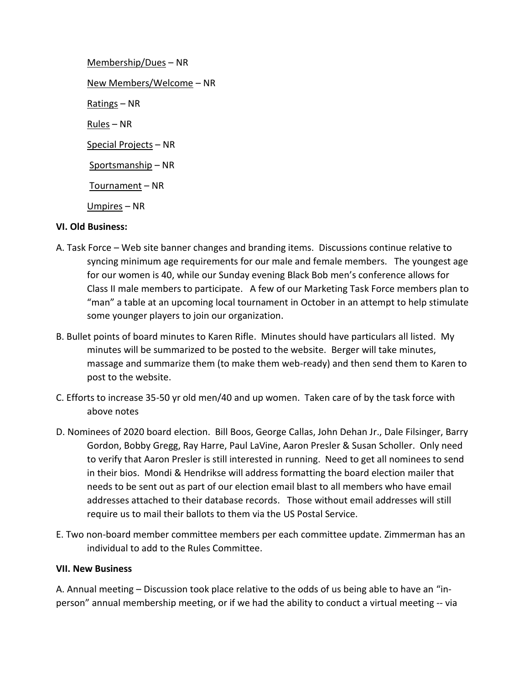Membership/Dues – NR New Members/Welcome – NR Ratings – NR Rules – NR Special Projects – NR Sportsmanship – NR Tournament – NR Umpires – NR

# **VI. Old Business:**

- A. Task Force Web site banner changes and branding items. Discussions continue relative to syncing minimum age requirements for our male and female members. The youngest age for our women is 40, while our Sunday evening Black Bob men's conference allows for Class II male members to participate. A few of our Marketing Task Force members plan to "man" a table at an upcoming local tournament in October in an attempt to help stimulate some younger players to join our organization.
- B. Bullet points of board minutes to Karen Rifle. Minutes should have particulars all listed. My minutes will be summarized to be posted to the website. Berger will take minutes, massage and summarize them (to make them web-ready) and then send them to Karen to post to the website.
- C. Efforts to increase 35-50 yr old men/40 and up women. Taken care of by the task force with above notes
- D. Nominees of 2020 board election. Bill Boos, George Callas, John Dehan Jr., Dale Filsinger, Barry Gordon, Bobby Gregg, Ray Harre, Paul LaVine, Aaron Presler & Susan Scholler. Only need to verify that Aaron Presler is still interested in running. Need to get all nominees to send in their bios. Mondi & Hendrikse will address formatting the board election mailer that needs to be sent out as part of our election email blast to all members who have email addresses attached to their database records. Those without email addresses will still require us to mail their ballots to them via the US Postal Service.
- E. Two non-board member committee members per each committee update. Zimmerman has an individual to add to the Rules Committee.

### **VII. New Business**

A. Annual meeting – Discussion took place relative to the odds of us being able to have an "inperson" annual membership meeting, or if we had the ability to conduct a virtual meeting -- via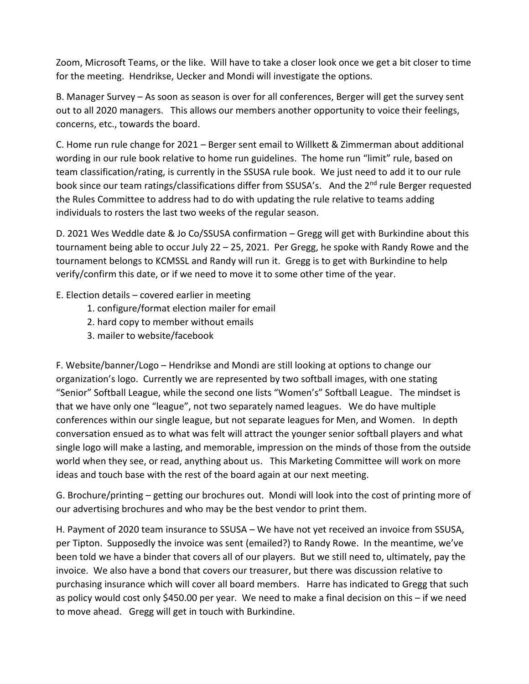Zoom, Microsoft Teams, or the like. Will have to take a closer look once we get a bit closer to time for the meeting. Hendrikse, Uecker and Mondi will investigate the options.

B. Manager Survey – As soon as season is over for all conferences, Berger will get the survey sent out to all 2020 managers. This allows our members another opportunity to voice their feelings, concerns, etc., towards the board.

C. Home run rule change for 2021 – Berger sent email to Willkett & Zimmerman about additional wording in our rule book relative to home run guidelines. The home run "limit" rule, based on team classification/rating, is currently in the SSUSA rule book. We just need to add it to our rule book since our team ratings/classifications differ from SSUSA's. And the 2<sup>nd</sup> rule Berger requested the Rules Committee to address had to do with updating the rule relative to teams adding individuals to rosters the last two weeks of the regular season.

D. 2021 Wes Weddle date & Jo Co/SSUSA confirmation – Gregg will get with Burkindine about this tournament being able to occur July 22 – 25, 2021. Per Gregg, he spoke with Randy Rowe and the tournament belongs to KCMSSL and Randy will run it. Gregg is to get with Burkindine to help verify/confirm this date, or if we need to move it to some other time of the year.

- E. Election details covered earlier in meeting
	- 1. configure/format election mailer for email
	- 2. hard copy to member without emails
	- 3. mailer to website/facebook

F. Website/banner/Logo – Hendrikse and Mondi are still looking at options to change our organization's logo. Currently we are represented by two softball images, with one stating "Senior" Softball League, while the second one lists "Women's" Softball League. The mindset is that we have only one "league", not two separately named leagues. We do have multiple conferences within our single league, but not separate leagues for Men, and Women. In depth conversation ensued as to what was felt will attract the younger senior softball players and what single logo will make a lasting, and memorable, impression on the minds of those from the outside world when they see, or read, anything about us. This Marketing Committee will work on more ideas and touch base with the rest of the board again at our next meeting.

G. Brochure/printing – getting our brochures out. Mondi will look into the cost of printing more of our advertising brochures and who may be the best vendor to print them.

H. Payment of 2020 team insurance to SSUSA – We have not yet received an invoice from SSUSA, per Tipton. Supposedly the invoice was sent (emailed?) to Randy Rowe. In the meantime, we've been told we have a binder that covers all of our players. But we still need to, ultimately, pay the invoice. We also have a bond that covers our treasurer, but there was discussion relative to purchasing insurance which will cover all board members. Harre has indicated to Gregg that such as policy would cost only \$450.00 per year. We need to make a final decision on this – if we need to move ahead. Gregg will get in touch with Burkindine.